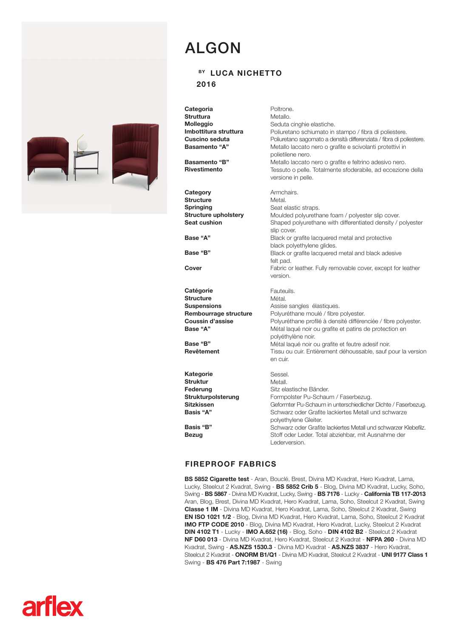

## ALGON

## BY LUCA NICHETTO

2016

**Categoria Struttura** Molleggio Imbottitura struttura Cuscino seduta Basamento "A"

Basamento "B" Rivestimento

**Category Structure Springing** Structure upholstery Seat cushion

Base "A"

Base "B"

Cover

**Catégorie Structure Suspensions** Rembourrage structure Coussin d'assise Base "A"

Base "B" Revêtement

Kategorie Struktur Federung Strukturpolsterung Sitzkissen Basis "A"

Poltrone. Metallo. Seduta cinghie elastiche. Poliuretano schiumato in stampo / fibra di poliestere. Poliuretano sagomato a densità differenziata / fibra di poliestere. Metallo laccato nero o grafite e scivolanti protettivi in polietilene nero. Metallo laccato nero o grafite e feltrino adesivo nero. Tessuto o pelle. Totalmente sfoderabile, ad eccezione della versione in pelle.

Armchairs. Metal. Seat elastic straps. Moulded polyurethane foam / polyester slip cover. Shaped polyurethane with differentiated density / polyester slip cover. Black or grafite lacquered metal and protective black polyethylene glides. Black or grafite lacquered metal and black adesive felt pad. Fabric or leather. Fully removable cover, except for leather version. Fauteuils. Métal. Assise sangles élastiques. Polyuréthane moulé / fibre polyester. Polyuréthane profilé à densité différenciée / fibre polyester. Métal laqué noir ou grafite et patins de protection en polyéthylène noir. Métal laqué noir ou grafite et feutre adesif noir. Tissu ou cuir. Entièrement déhoussable, sauf pour la version en cuir. Sessel. Metall. Sitz elastische Bänder. Formpolster Pu-Schaum / Faserbezug. Geformter Pu-Schaum in unterschiedlicher Dichte / Faserbezug. Schwarz oder Grafite lackiertes Metall und schwarze

Basis "B" Bezug

polyethylene Gleiter. Schwarz oder Grafite lackiertes Metall und schwarzer Klebefilz. Stoff oder Leder. Total abziehbar, mit Ausnahme der Lederversion.

## FIREPROOF FABRICS

BS 5852 Cigarette test - Aran, Bouclé, Brest, Divina MD Kvadrat, Hero Kvadrat, Lama, Lucky, Steelcut 2 Kvadrat, Swing - BS 5852 Crib 5 - Blog, Divina MD Kvadrat, Lucky, Soho, Swing - BS 5867 - Divina MD Kvadrat, Lucky, Swing - BS 7176 - Lucky - California TB 117-2013 Aran, Blog, Brest, Divina MD Kvadrat, Hero Kvadrat, Lama, Soho, Steelcut 2 Kvadrat, Swing Classe 1 IM - Divina MD Kvadrat, Hero Kvadrat, Lama, Soho, Steelcut 2 Kvadrat, Swing EN ISO 1021 1/2 - Blog, Divina MD Kvadrat, Hero Kvadrat, Lama, Soho, Steelcut 2 Kvadrat IMO FTP CODE 2010 - Blog, Divina MD Kvadrat, Hero Kvadrat, Lucky, Steelcut 2 Kvadrat DIN 4102 T1 - Lucky - IMO A.652 (16) - Blog, Soho - DIN 4102 B2 - Steelcut 2 Kvadrat NF D60 013 - Divina MD Kvadrat, Hero Kvadrat, Steelcut 2 Kvadrat - NFPA 260 - Divina MD Kvadrat, Swing - AS.NZS 1530.3 - Divina MD Kvadrat - AS.NZS 3837 - Hero Kvadrat, Steelcut 2 Kvadrat - ONORM B1/Q1 - Divina MD Kvadrat, Steelcut 2 Kvadrat - UNI 9177 Class 1 Swing - BS 476 Part 7:1987 - Swing

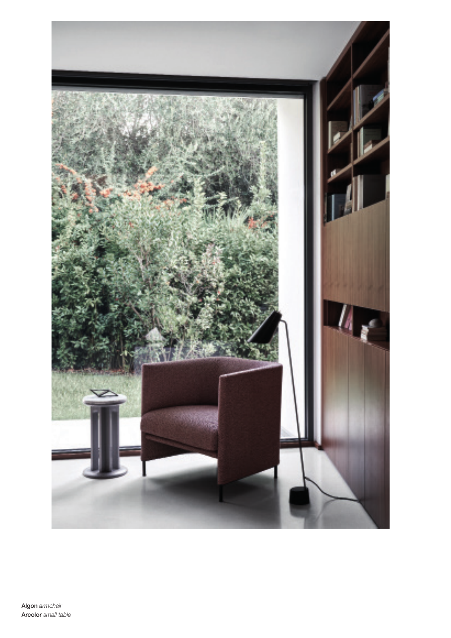